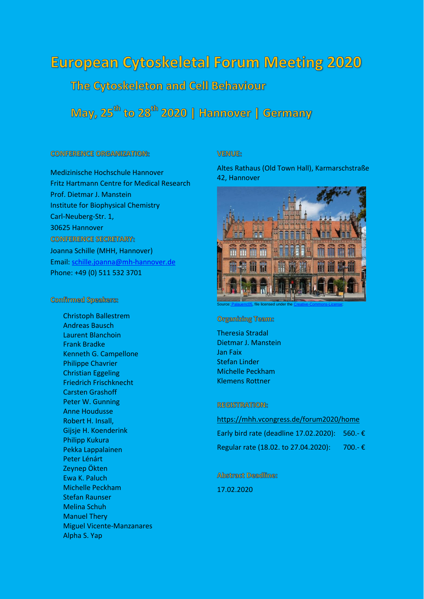# **European Cytoskeletal Forum Meeting 2020**

The Cytoskeleton and Cell Behaviour

May, 25<sup>th</sup> to 28<sup>th</sup> 2020 | Hannover | Germany

### **CONFERENCE ORGANIZATION:**

Medizinische Hochschule Hannover Fritz Hartmann Centre for Medical Research Prof. Dietmar J. Manstein Institute for Biophysical Chemistry Carl-Neuberg-Str. 1, 30625 Hannover **CONFERENCE SECRETARY:** Joanna Schille (MHH, Hannover) Email: [schille.joanna@mh-hannover.de](mailto:schille.joanna@mh-hannover.de) Phone: +49 (0) 511 532 3701

### **Confirmed Speakers:**

Christoph Ballestrem Andreas Bausch Laurent Blanchoin Frank Bradke Kenneth G. Campellone Philippe Chavrier Christian Eggeling Friedrich Frischknecht Carsten Grashoff Peter W. Gunning Anne Houdusse Robert H. Insall, Gijsje H. Koenderink Philipp Kukura Pekka Lappalainen Peter Lénárt Zeynep Ökten Ewa K. Paluch Michelle Peckham Stefan Raunser Melina Schuh Manuel Thery Miguel Vicente-Manzanares Alpha S. Yap

### **WENWE:**

Altes Rathaus (Old Town Hall), Karmarschstraße 42, Hannover



file licensed under the

**Organizing Team:** 

Theresia Stradal Dietmar J. Manstein Jan Faix Stefan Linder Michelle Peckham Klemens Rottner

### **REGISTRATION:**

<https://mhh.vcongress.de/forum2020/home> Early bird rate (deadline 17.02.2020): 560.- € Regular rate (18.02. to 27.04.2020): 700.- €

**Abstract Deadline:** 

17.02.2020